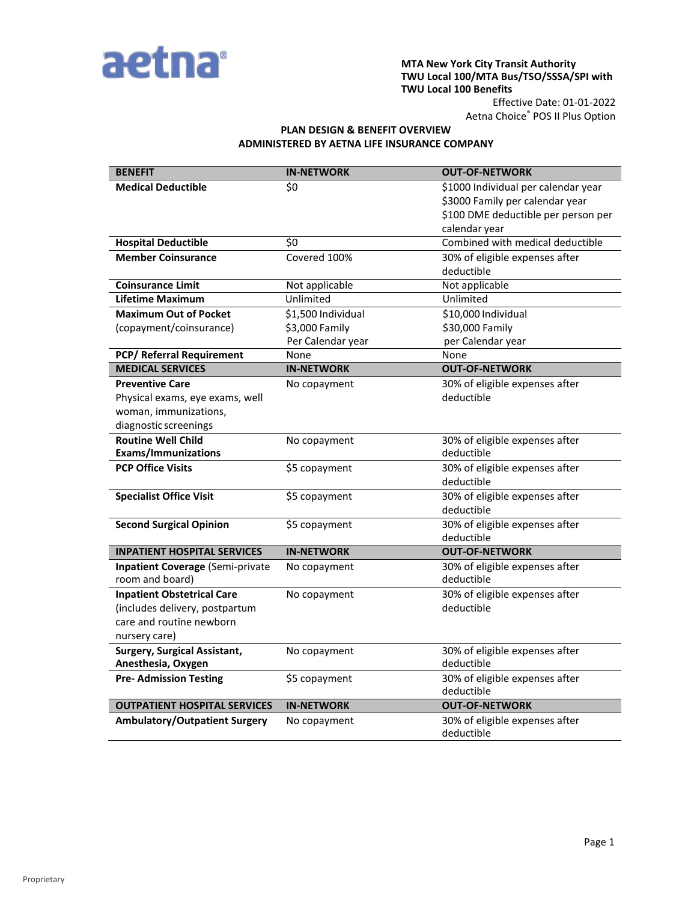

#### **MTA New York City Transit Authority TWU Local 100/MTA Bus/TSO/SSSA/SPI with TWU Local 100 Benefits**

Effective Date: 01-01-2022 Aetna Choice® POS II Plus Option

# **PLAN DESIGN & BENEFIT OVERVIEW ADMINISTERED BY AETNA LIFE INSURANCE COMPANY**

| <b>BENEFIT</b>                          | <b>IN-NETWORK</b>  | <b>OUT-OF-NETWORK</b>                        |
|-----------------------------------------|--------------------|----------------------------------------------|
| <b>Medical Deductible</b>               | \$0                | \$1000 Individual per calendar year          |
|                                         |                    | \$3000 Family per calendar year              |
|                                         |                    | \$100 DME deductible per person per          |
|                                         |                    | calendar year                                |
| <b>Hospital Deductible</b>              | \$0                | Combined with medical deductible             |
| <b>Member Coinsurance</b>               | Covered 100%       | 30% of eligible expenses after               |
|                                         |                    | deductible                                   |
| <b>Coinsurance Limit</b>                | Not applicable     | Not applicable                               |
| <b>Lifetime Maximum</b>                 | Unlimited          | Unlimited                                    |
| <b>Maximum Out of Pocket</b>            | \$1,500 Individual | \$10,000 Individual                          |
| (copayment/coinsurance)                 | \$3,000 Family     | \$30,000 Family                              |
|                                         | Per Calendar year  | per Calendar year                            |
| PCP/ Referral Requirement               | None               | None                                         |
| <b>MEDICAL SERVICES</b>                 | <b>IN-NETWORK</b>  | <b>OUT-OF-NETWORK</b>                        |
| <b>Preventive Care</b>                  | No copayment       | 30% of eligible expenses after               |
| Physical exams, eye exams, well         |                    | deductible                                   |
| woman, immunizations,                   |                    |                                              |
| diagnostic screenings                   |                    |                                              |
| <b>Routine Well Child</b>               | No copayment       | 30% of eligible expenses after               |
| <b>Exams/Immunizations</b>              |                    | deductible                                   |
| <b>PCP Office Visits</b>                | \$5 copayment      | 30% of eligible expenses after               |
|                                         |                    | deductible                                   |
| <b>Specialist Office Visit</b>          | \$5 copayment      | 30% of eligible expenses after               |
|                                         |                    | deductible                                   |
| <b>Second Surgical Opinion</b>          | \$5 copayment      | 30% of eligible expenses after               |
|                                         |                    | deductible                                   |
| <b>INPATIENT HOSPITAL SERVICES</b>      | <b>IN-NETWORK</b>  | <b>OUT-OF-NETWORK</b>                        |
| <b>Inpatient Coverage (Semi-private</b> | No copayment       | 30% of eligible expenses after               |
| room and board)                         |                    | deductible                                   |
| <b>Inpatient Obstetrical Care</b>       | No copayment       | 30% of eligible expenses after               |
| (includes delivery, postpartum          |                    | deductible                                   |
| care and routine newborn                |                    |                                              |
| nursery care)                           |                    |                                              |
| <b>Surgery, Surgical Assistant,</b>     | No copayment       | 30% of eligible expenses after               |
| Anesthesia, Oxygen                      |                    | deductible                                   |
| <b>Pre- Admission Testing</b>           | \$5 copayment      | 30% of eligible expenses after               |
|                                         |                    | deductible                                   |
| <b>OUTPATIENT HOSPITAL SERVICES</b>     | <b>IN-NETWORK</b>  | <b>OUT-OF-NETWORK</b>                        |
| <b>Ambulatory/Outpatient Surgery</b>    | No copayment       | 30% of eligible expenses after<br>deductible |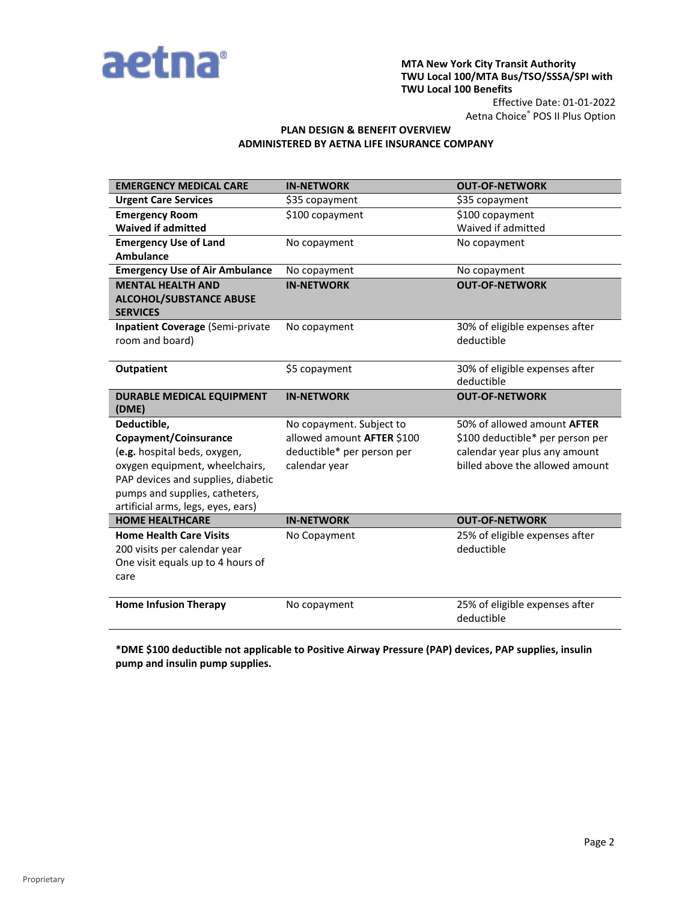

### **MTA New York City Transit Authority TWU Local 100/MTA Bus/TSO/SSSA/SPI with TWU Local 100 Benefits**

Effective Date: 01-01-2022 Aetna Choice® POS II Plus Option

## **PLAN DESIGN & BENEFIT OVERVIEW ADMINISTERED BY AETNA LIFE INSURANCE COMPANY**

| <b>EMERGENCY MEDICAL CARE</b>                     | <b>IN-NETWORK</b>          | <b>OUT-OF-NETWORK</b>            |
|---------------------------------------------------|----------------------------|----------------------------------|
| <b>Urgent Care Services</b>                       | \$35 copayment             | \$35 copayment                   |
| <b>Emergency Room</b>                             | \$100 copayment            | \$100 copayment                  |
| <b>Waived if admitted</b>                         |                            | Waived if admitted               |
| <b>Emergency Use of Land</b>                      | No copayment               | No copayment                     |
| <b>Ambulance</b>                                  |                            |                                  |
| <b>Emergency Use of Air Ambulance</b>             | No copayment               | No copayment                     |
| <b>MENTAL HEALTH AND</b>                          | <b>IN-NETWORK</b>          | <b>OUT-OF-NETWORK</b>            |
| <b>ALCOHOL/SUBSTANCE ABUSE</b><br><b>SERVICES</b> |                            |                                  |
| Inpatient Coverage (Semi-private                  | No copayment               | 30% of eligible expenses after   |
| room and board)                                   |                            | deductible                       |
| <b>Outpatient</b>                                 | \$5 copayment              | 30% of eligible expenses after   |
|                                                   |                            | deductible                       |
| DURABLE MEDICAL EQUIPMENT<br>(DME)                | <b>IN-NETWORK</b>          | <b>OUT-OF-NETWORK</b>            |
| Deductible,                                       | No copayment. Subject to   | 50% of allowed amount AFTER      |
| Copayment/Coinsurance                             | allowed amount AFTER \$100 | \$100 deductible* per person per |
| (e.g. hospital beds, oxygen,                      | deductible* per person per | calendar year plus any amount    |
| oxygen equipment, wheelchairs,                    | calendar year              | billed above the allowed amount  |
| PAP devices and supplies, diabetic                |                            |                                  |
| pumps and supplies, catheters,                    |                            |                                  |
| artificial arms, legs, eyes, ears)                |                            |                                  |
| <b>HOME HEALTHCARE</b>                            | <b>IN-NETWORK</b>          | <b>OUT-OF-NETWORK</b>            |
| <b>Home Health Care Visits</b>                    | No Copayment               | 25% of eligible expenses after   |
| 200 visits per calendar year                      |                            | deductible                       |
| One visit equals up to 4 hours of                 |                            |                                  |
| care                                              |                            |                                  |
| <b>Home Infusion Therapy</b>                      | No copayment               | 25% of eligible expenses after   |
|                                                   |                            | deductible                       |

**\*DME \$100 deductible not applicable to Positive Airway Pressure (PAP) devices, PAP supplies, insulin pump and insulin pump supplies.**